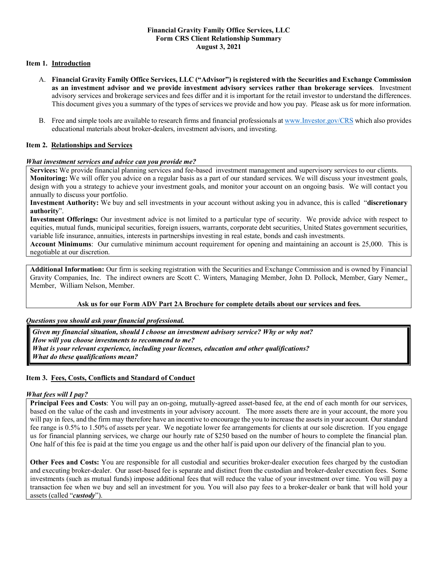### **Financial Gravity Family Office Services, LLC Form CRS Client Relationship Summary August 3, 2021**

### **Item 1. Introduction**

- A. **Financial Gravity Family Office Services, LLC ("Advisor") is registered with the Securities and Exchange Commission as an investment advisor and we provide investment advisory services rather than brokerage services**. Investment advisory services and brokerage services and fees differ and it is important for the retail investor to understand the differences. This document gives you a summary of the types of services we provide and how you pay. Please ask us for more information.
- B. Free and simple tools are available to research firms and financial professionals at www.Investor.gov/CRS which also provides educational materials about broker-dealers, investment advisors, and investing.

### **Item 2. Relationships and Services**

#### *What investment services and advice can you provide me?*

**Services:** We provide financial planning services and fee-based investment management and supervisory services to our clients. **Monitoring:** We will offer you advice on a regular basis as a part of our standard services. We will discuss your investment goals, design with you a strategy to achieve your investment goals, and monitor your account on an ongoing basis. We will contact you annually to discuss your portfolio.

**Investment Authority:** We buy and sell investments in your account without asking you in advance, this is called "**discretionary authority**".

**Investment Offerings:** Our investment advice is not limited to a particular type of security. We provide advice with respect to equities, mutual funds, municipal securities, foreign issuers, warrants, corporate debt securities, United States government securities, variable life insurance, annuities, interests in partnerships investing in real estate, bonds and cash investments.

**Account Minimums**: Our cumulative minimum account requirement for opening and maintaining an account is 25,000. This is negotiable at our discretion.

**Additional Information:** Our firm is seeking registration with the Securities and Exchange Commission and is owned by Financial Gravity Companies, Inc. The indirect owners are Scott C. Winters, Managing Member, John D. Pollock, Member, Gary Nemer,, Member, William Nelson, Member.

### **Ask us for our Form ADV Part 2A Brochure for complete details about our services and fees.**

#### *Questions you should ask your financial professional.*

*Given my financial situation, should I choose an investment advisory service? Why or why not? How will you choose investments to recommend to me? What is your relevant experience, including your licenses, education and other qualifications? What do these qualifications mean?*

### **Item 3. Fees, Costs, Conflicts and Standard of Conduct**

#### *What fees will I pay?*

**Principal Fees and Costs**: You will pay an on-going, mutually-agreed asset-based fee, at the end of each month for our services, based on the value of the cash and investments in your advisory account. The more assets there are in your account, the more you will pay in fees, and the firm may therefore have an incentive to encourage the you to increase the assets in your account. Our standard fee range is 0.5% to 1.50% of assets per year. We negotiate lower fee arrangements for clients at our sole discretion. If you engage us for financial planning services, we charge our hourly rate of \$250 based on the number of hours to complete the financial plan. One half of this fee is paid at the time you engage us and the other half is paid upon our delivery of the financial plan to you.

**Other Fees and Costs:** You are responsible for all custodial and securities broker-dealer execution fees charged by the custodian and executing broker-dealer. Our asset-based fee is separate and distinct from the custodian and broker-dealer execution fees. Some investments (such as mutual funds) impose additional fees that will reduce the value of your investment over time. You will pay a transaction fee when we buy and sell an investment for you. You will also pay fees to a broker-dealer or bank that will hold your assets (called "*custody*").